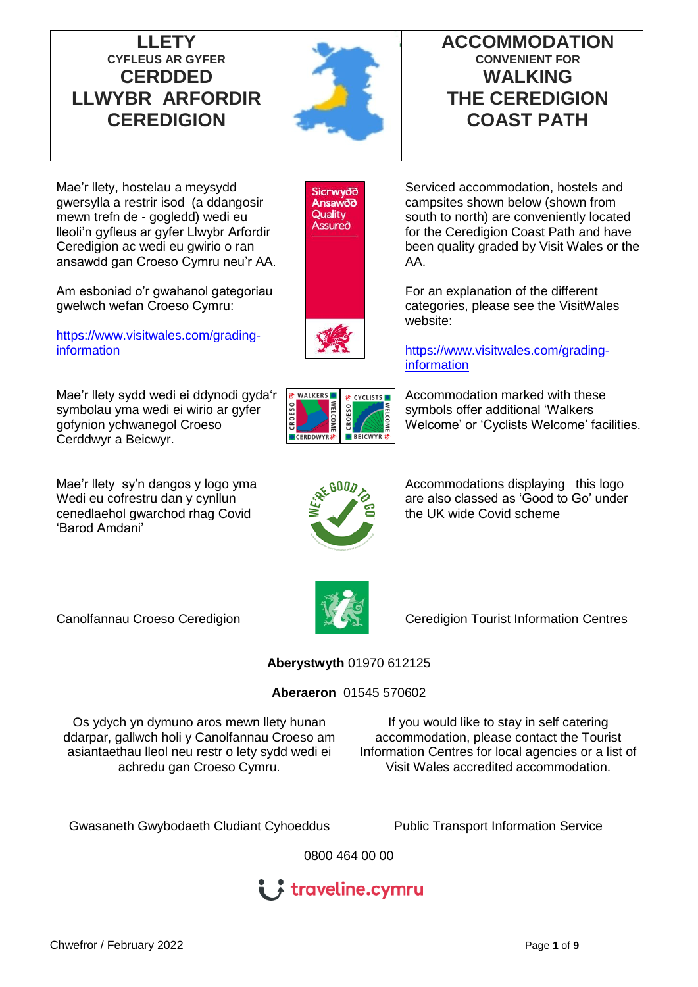**LLETY CYFLEUS AR GYFER CERDDED LLWYBR ARFORDIR CEREDIGION**



# **ACCOMMODATION CONVENIENT FOR WALKING THE CEREDIGION COAST PATH**

Mae'r llety, hostelau a meysydd gwersylla a restrir isod (a ddangosir mewn trefn de - gogledd) wedi eu lleoli'n gyfleus ar gyfer Llwybr Arfordir Ceredigion ac wedi eu gwirio o ran ansawdd gan Croeso Cymru neu'r AA.

Am esboniad o'r gwahanol gategoriau gwelwch wefan Croeso Cymru:

[https://www.visitwales.com/grading](https://www.visitwales.com/grading-information)[information](https://www.visitwales.com/grading-information)

Mae'r llety sydd wedi ei ddynodi gyda'r symbolau yma wedi ei wirio ar gyfer gofynion ychwanegol Croeso Cerddwyr a Beicwyr.

Mae'r llety sy'n dangos y logo yma Wedi eu cofrestru dan y cynllun cenedlaehol gwarchod rhag Covid 'Barod Amdani'



 $\sum$ 

**BEICWYR** 

CROESO

Serviced accommodation, hostels and campsites shown below (shown from south to north) are conveniently located for the Ceredigion Coast Path and have been quality graded by Visit Wales or the AA.

For an explanation of the different categories, please see the VisitWales website:

[https://www.visitwales.com/grading](https://www.visitwales.com/grading-information)[information](https://www.visitwales.com/grading-information)

Accommodation marked with these symbols offer additional 'Walkers Welcome' or 'Cyclists Welcome' facilities.

Accommodations displaying this logo are also classed as 'Good to Go' under the UK wide Covid scheme



Canolfannau Croeso Ceredigion **Canolfannau Croeso Ceredigion** Centres

# **Aberystwyth** 01970 612125

### **Aberaeron** 01545 570602

Os ydych yn dymuno aros mewn llety hunan ddarpar, gallwch holi y Canolfannau Croeso am asiantaethau lleol neu restr o lety sydd wedi ei achredu gan Croeso Cymru.

If you would like to stay in self catering accommodation, please contact the Tourist Information Centres for local agencies or a list of Visit Wales accredited accommodation.

Gwasaneth Gwybodaeth Cludiant Cyhoeddus Public Transport Information Service

0800 464 00 00

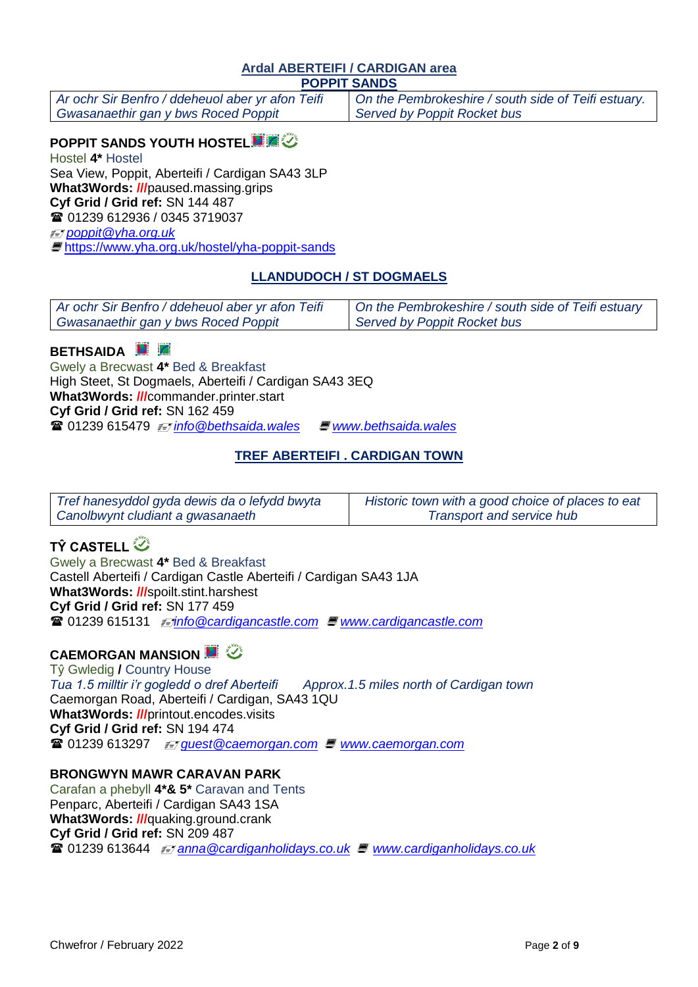#### **Ardal ABERTEIFI / CARDIGAN area POPPIT SANDS**

*Ar ochr Sir Benfro / ddeheuol aber yr afon Teifi Gwasanaethir gan y bws Roced Poppit*

*On the Pembrokeshire / south side of Teifi estuary. Served by Poppit Rocket bus*

# **POPPIT SANDS YOUTH HOSTEL**

Hostel **4\*** Hostel Sea View, Poppit, Aberteifi / Cardigan SA43 3LP **What3Words: ///**paused.massing.grips **Cyf Grid / Grid ref:** SN 144 487 01239 612936 / 0345 3719037 *[poppit@yha.org.uk](mailto:poppit@yha.org.uk)* 

<https://www.yha.org.uk/hostel/yha-poppit-sands>

# **LLANDUDOCH / ST DOGMAELS**

| Ar ochr Sir Benfro / ddeheuol aber yr afon Teifi | On the Pembrokeshire / south side of Teifi estuary |
|--------------------------------------------------|----------------------------------------------------|
| Gwasanaethir gan y bws Roced Poppit              | Served by Poppit Rocket bus                        |

## **BETHSAIDA D**

Gwely a Brecwast **4\*** Bed & Breakfast High Steet, St Dogmaels, Aberteifi / Cardigan SA43 3EQ **What3Words: ///**commander.printer.start **Cyf Grid / Grid ref:** SN 162 459 01239 615479 *[info@bethsaida.wales](mailto:info@bethsaida.wales) [www.bethsaida.wales](http://www.bethsaida.wales/)*

## **TREF ABERTEIFI . CARDIGAN TOWN**

| Tref hanesyddol gyda dewis da o lefydd bwyta | Historic town with a good choice of places to eat |
|----------------------------------------------|---------------------------------------------------|
| Canolbwynt cludiant a gwasanaeth             | Transport and service hub                         |

# **TŶ CASTELL**

Gwely a Brecwast **4\*** Bed & Breakfast Castell Aberteifi / Cardigan Castle Aberteifi / Cardigan SA43 1JA **What3Words: ///**spoilt.stint.harshest **Cyf Grid / Grid ref:** SN 177 459 01239 615131 *[info@cardigancastle.com](mailto:info@cardigancastle.com) [www.cardigancastle.com](http://www.cardigancastle.com/)*

# **CAEMORGAN MANSION**

Tŷ Gwledig **/** Country House *Tua 1.5 milltir i'r gogledd o dref Aberteifi Approx.1.5 miles north of Cardigan town* Caemorgan Road, Aberteifi / Cardigan, SA43 1QU **What3Words: ///**printout.encodes.visits **Cyf Grid / Grid ref:** SN 194 474 01239 613297 *[guest@caemorgan.com](mailto:guest@caemorgan.com) [www.caemorgan.com](http://www.caemorgan.com/)*

### **BRONGWYN MAWR CARAVAN PARK**

Carafan a phebyll **4\*& 5\*** Caravan and Tents Penparc, Aberteifi / Cardigan SA43 1SA **What3Words: ///**quaking.ground.crank **Cyf Grid / Grid ref:** SN 209 487 01239 613644 *anna@cardiganholidays.co.uk [www.cardiganholidays.co.uk](http://www.cardiganholidays.co.uk/)*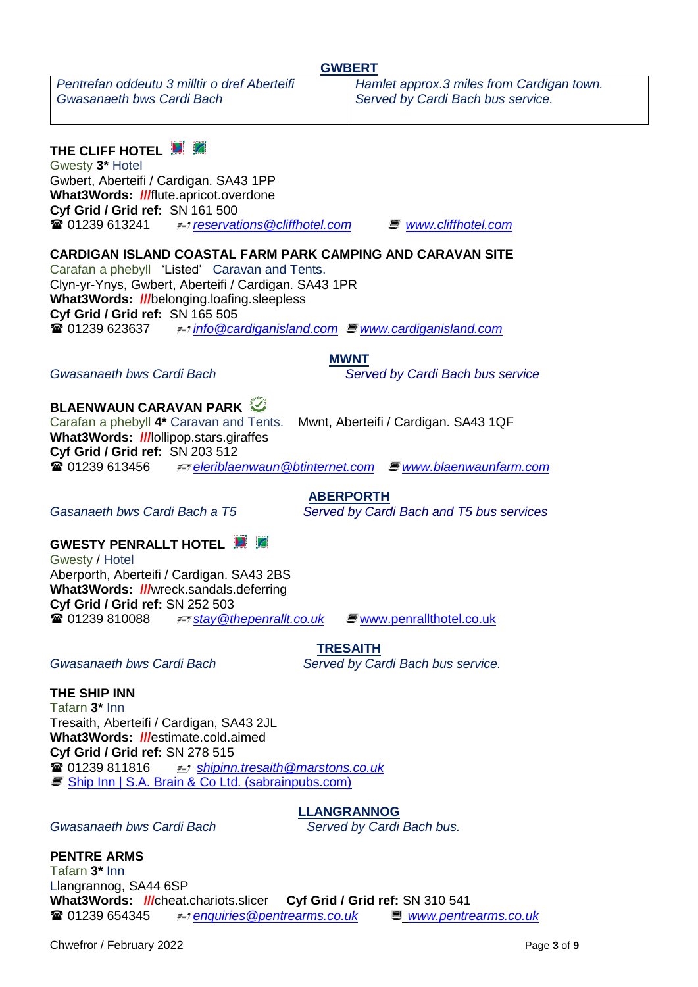*Pentrefan oddeutu 3 milltir o dref Aberteifi Gwasanaeth bws Cardi Bach* 

**THE CLIFF HOTEL** 

Gwesty **3\*** Hotel Gwbert, Aberteifi / Cardigan. SA43 1PP **What3Words: ///**flute.apricot.overdone **Cyf Grid / Grid ref:** SN 161 500<br>雷 01239 613241 *= Treservat* 01239 613241 *[reservations@cliffhotel.com](mailto:reservations@cliffhotel.com)  [www.cliffhotel.com](http://www.cliffhotel.com/)*

*Served by Cardi Bach bus service.*

### **CARDIGAN ISLAND COASTAL FARM PARK CAMPING AND CARAVAN SITE**

Carafan a phebyll 'Listed' Caravan and Tents. Clyn-yr-Ynys, Gwbert, Aberteifi / Cardigan. SA43 1PR **What3Words: ///**belonging.loafing.sleepless **Cyf Grid / Grid ref:** SN 165 505 01239 623637 *[info@cardiganisland.com](mailto:info@cardiganisland.com) [www.cardiganisland.com](http://www.cardiganisland.com/)*

**MWNT**

*Gwasanaeth bws Cardi Bach Served by Cardi Bach bus service*

# **BLAENWAUN CARAVAN PARK**

Carafan a phebyll **4\*** Caravan and Tents. Mwnt, Aberteifi / Cardigan. SA43 1QF **What3Words: ///**lollipop.stars.giraffes **Cyf Grid / Grid ref:** SN 203 512 **■ 01239 613456** *≢=* [eleriblaenwaun@btinternet.com](mailto:eleriblaenwaun@btinternet.com) ■ [www.blaenwaunfarm.com](http://www.blaenwaunfarm.com/)

**ABERPORTH**

*Gasanaeth bws Cardi Bach a T5 Served by Cardi Bach and T5 bus services*

# **GWESTY PENRALLT HOTEL**

Gwesty / Hotel Aberporth, Aberteifi / Cardigan. SA43 2BS **What3Words: ///**wreck.sandals.deferring **Cyf Grid / Grid ref:** SN 252 503 01239 810088 *stay@thepenrallt.co.uk*  [www.penrallthotel.co.uk](http://www.penrallthotel.co.uk/)

**TRESAITH** *Gwasanaeth bws Cardi Bach Served by Cardi Bach bus service.*

**THE SHIP INN** 

Tafarn **3\*** Inn Tresaith, Aberteifi / Cardigan, SA43 2JL **What3Words: ///**estimate.cold.aimed **Cyf Grid / Grid ref:** SN 278 515 01239 811816 *[shipinn.tresaith@marstons.co.uk](mailto:shipinn.tresaith@marstons.co.uk)*  [Ship Inn | S.A. Brain & Co Ltd. \(sabrainpubs.com\)](https://sabrainpubs.com/pubs-and-hotels/mid-west-wales/ceredigion/the-ship-inn)

**LLANGRANNOG**

*Gwasanaeth bws Cardi Bach Served by Cardi Bach bus.*

**PENTRE ARMS** 

Tafarn **3\*** Inn Llangrannog, SA44 6SP **What3Words: ///**cheat.chariots.slicer **Cyf Grid / Grid ref:** SN 310 541 01239 654345 *[enquiries@pentrearms.co.uk](mailto:enquiries@pentrearms.co.uk)  [www.pentrearms.co.uk](http://www.pentrearms.co.uk/)* 

Chwefror / February 2022 Page **3** of **9**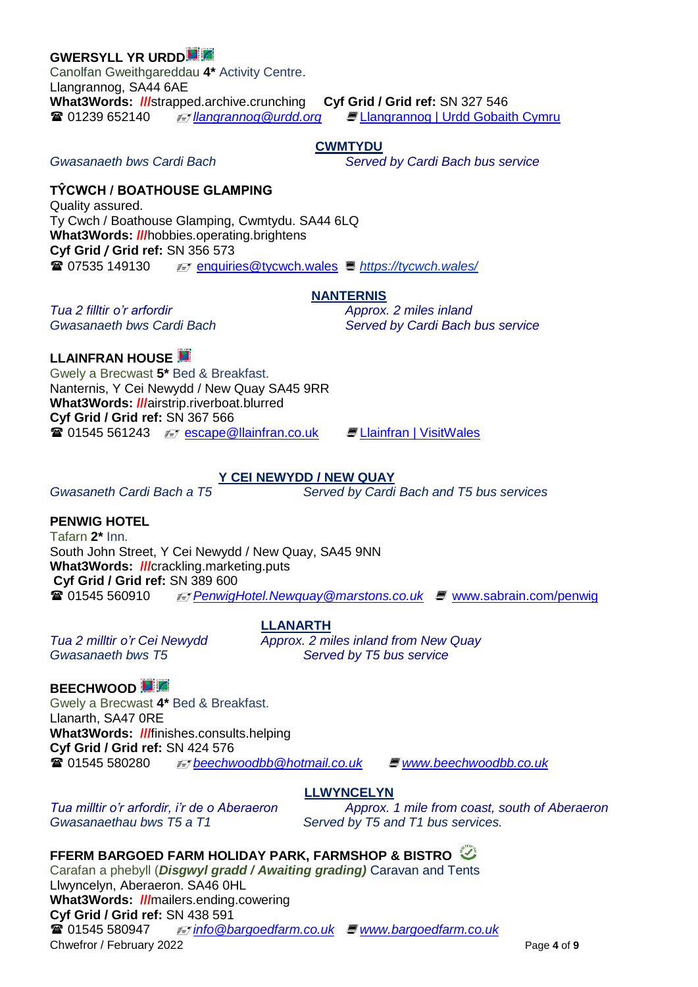### **GWERSYLL YR URDD**

Canolfan Gweithgareddau **4\*** Activity Centre. Llangrannog, SA44 6AE **What3Words: ///**strapped.archive.crunching **Cyf Grid / Grid ref:** SN 327 546 01239 652140 *llangrannog@urdd.org*  [Llangrannog | Urdd Gobaith Cymru](https://www.urdd.cymru/en/residential-centres/llangrannog/)

### **CWMTYDU**

*Gwasanaeth bws Cardi Bach Served by Cardi Bach bus service*

## **TŶCWCH / BOATHOUSE GLAMPING**

Quality assured. Ty Cwch / Boathouse Glamping, Cwmtydu. SA44 6LQ **What3Words: ///**hobbies.operating.brightens **Cyf Grid / Grid ref:** SN 356 573 **■ 07535 149130**  $\equiv \equiv$  [enquiries@tycwch.wales](mailto:enquiries@tycwch.wales) ■ https://tycwch.wales/

### **NANTERNIS**

*Tua 2 filltir o'r arfordir Approx. 2 miles inland Gwasanaeth bws Cardi Bach Served by Cardi Bach bus service*

**LLAINFRAN HOUSE**  Gwely a Brecwast **5\*** Bed & Breakfast. Nanternis, Y Cei Newydd / New Quay SA45 9RR **What3Words: ///**airstrip.riverboat.blurred **Cyf Grid / Grid ref:** SN 367 566 **■ 01545 561243** *≢* **[escape@llainfran.co.uk](mailto:escape@llainfran.co.uk) ■ [Llainfran | VisitWales](https://www.visitwales.com/accommodation/bed-breakfast/llainfran-2137076)** 

### **Y CEI NEWYDD / NEW QUAY**

*Gwasaneth Cardi Bach a T5 Served by Cardi Bach and T5 bus services*

# **PENWIG HOTEL**

Tafarn **2\*** Inn. South John Street, Y Cei Newydd / New Quay, SA45 9NN **What3Words: ///**crackling.marketing.puts **Cyf Grid / Grid ref:** SN 389 600<br> **The Contract of the Contract of the SN 389 600** 01545 560910 *[Penwig](http://penwi/)Hotel.Newquay@marstons.co.uk*  [www.sabrain.com/penwig](http://www.sabrain.com/penwig)

**LLANARTH**

*Tua 2 milltir o'r Cei Newydd Approx. 2 miles inland from New Quay Gwasanaeth bws T5 Served by T5 bus service*

**LLWYNCELYN**

# **BEECHWOOD**

Gwely a Brecwast **4\*** Bed & Breakfast. Llanarth, SA47 0RE **What3Words: ///**finishes.consults.helping **Cyf Grid / Grid ref:** SN 424 576 01545 580280 *[beechwoodbb@hotmail.co.uk](mailto:beechwoodbb@hotmail.co.uk) [www.beechwoodbb.co.uk](http://www.beechwoodbb.co.uk/)*

Gwasanaethau bws T5 a T1 Served by T5 and T1 bus services.

*Tua milltir o'r arfordir, i'r de o Aberaeron Approx. 1 mile from coast, south of Aberaeron*

# **FFERM BARGOED FARM HOLIDAY PARK, FARMSHOP & BISTRO**

Chwefror / February 2022 Page **4** of **9** Carafan a phebyll (*Disgwyl gradd / Awaiting grading)* Caravan and Tents Llwyncelyn, Aberaeron. SA46 0HL **What3Words: ///**mailers.ending.cowering **Cyf Grid / Grid ref:** SN 438 591 01545 580947 *[info@bargoedfarm.co.uk](mailto:info@bargoedfarm.co.uk) [www.bargoedfarm.co.uk](http://www.bargoedfarm.co.uk/)*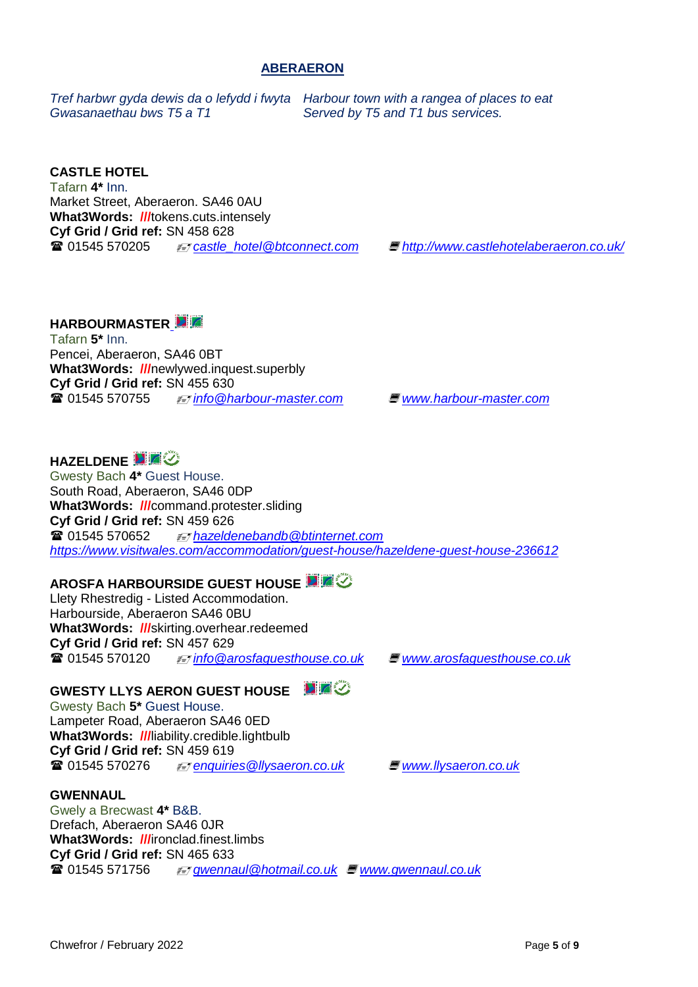#### **ABERAERON**

*Tref harbwr gyda dewis da o lefydd i fwyta Harbour town with a rangea of places to eat Gwasanaethau bws T5 a T1 Served by T5 and T1 bus services.*

#### **CASTLE HOTEL**

Tafarn **4\*** Inn. Market Street, Aberaeron. SA46 0AU **What3Words: ///**tokens.cuts.intensely **Cyf Grid / Grid ref:** SN 458 628 01545 570205 *[castle\\_hotel@btconnect.com](mailto:castle_hotel@btconnect.com) <http://www.castlehotelaberaeron.co.uk/>*

### **HARBOURMASTER**

Tafarn **5\*** Inn. Pencei, Aberaeron, SA46 0BT **What3Words: ///**newlywed.inquest.superbly **Cyf Grid / Grid ref:** SN 455 630 01545 570755 *[info@harbour-master.com](mailto:info@harbour-master.com)  [www.harbour-master.com](http://www.harbour-master.com/)*

# **HAZELDENE**

Gwesty Bach **4\*** Guest House. South Road, Aberaeron, SA46 0DP **What3Words: ///**command.protester.sliding **Cyf Grid / Grid ref:** SN 459 626 01545 570652 *hazeldenebandb@btinternet.com <https://www.visitwales.com/accommodation/guest-house/hazeldene-guest-house-236612>*

### **AROSFA HARBOURSIDE GUEST HOUSE ETA**

Llety Rhestredig - Listed Accommodation. Harbourside, Aberaeron SA46 0BU **What3Words: ///**skirting.overhear.redeemed **Cyf Grid / Grid ref:** SN 457 629 01545 570120 *[info@arosfaguesthouse.co.uk](mailto:info@arosfaguesthouse.co.uk)  [www.arosfaguesthouse.co.uk](http://www.arosfaguesthouse.co.uk/)*

### **GWESTY LLYS AERON GUEST HOUSE**

Gwesty Bach **5\*** Guest House. Lampeter Road, Aberaeron SA46 0ED **What3Words: ///**liability.credible.lightbulb **Cyf Grid / Grid ref:** SN 459 619<br> **R** 01545 570276 01545 570276 *[enquiries@llysaeron.co.uk](mailto:enquiries@llysaeron.co.uk)  [www.llysaeron.co.uk](http://www.llysaeron.co.uk/)*

#### **GWENNAUL**

Gwely a Brecwast **4\*** B&B. Drefach, Aberaeron SA46 0JR **What3Words: ///**ironclad.finest.limbs **Cyf Grid / Grid ref:** SN 465 633 01545 571756 *[gwennaul@hotmail.co.uk](mailto:gwennaul@hotmail.co.uk)  [www.gwennaul.co.uk](http://www.gwennaul.co.uk/)*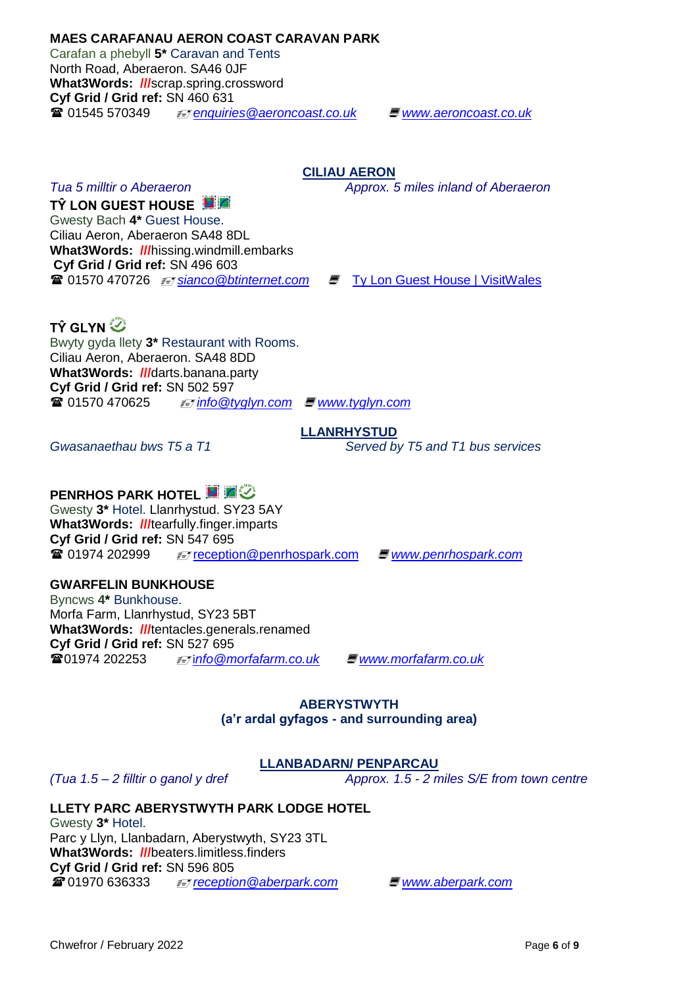**What3Words: ///**hissing.windmill.embarks **Cyf Grid / Grid ref:** SN 496 603 **<sup>2</sup>** 01570 470726 *ii* sianco @btinternet.com ■ [Ty Lon Guest House | VisitWales](https://www.visitwales.com/accommodation/guest-house/ty-lon-guest-house-705093)

**TŶ LON GUEST HOUSE**  Gwesty Bach **4\*** Guest House. Ciliau Aeron, Aberaeron SA48 8DL

**TŶ GLYN** 

Bwyty gyda llety **3\*** Restaurant with Rooms. Ciliau Aeron, Aberaeron. SA48 8DD **What3Words: ///**darts.banana.party **Cyf Grid / Grid ref:** SN 502 597 01570 470625 *[info@tyglyn.com](mailto:info@tyglyn.com)  [www.tyglyn.com](http://www.tyglyn.com/)*

Gwasanaethau bws T5 a T1 Served by T5 and T1 bus services

# **PENRHOS PARK HOTEL <b>E Z**

Gwesty **3\*** Hotel. Llanrhystud. SY23 5AY **What3Words: ///**tearfully.finger.imparts **Cyf Grid / Grid ref:** SN 547 695 01974 202999 [reception@penrhospark.com](mailto:reception@penrhospark.com) *[www.penrhosp](http://www.penrhosgolf.co.uk/)ark.com*

# **GWARFELIN BUNKHOUSE**

Byncws **4\*** Bunkhouse. Morfa Farm, Llanrhystud, SY23 5BT **What3Words: ///**tentacles.generals.renamed **Cyf Grid / Grid ref:** SN 527 695 01974 202253 i*[nfo@morfafarm.co.uk](mailto:info@morfafarm.co.uk)  [www.morfafarm.co.uk](http://www.morfafarm.co.uk/)*

## **ABERYSTWYTH (a'r ardal gyfagos - and surrounding area)**

# **LLANBADARN/ PENPARCAU**

*(Tua 1.5 – 2 filltir o ganol y dref Approx. 1.5 - 2 miles S/E from town centre*

# **LLETY PARC ABERYSTWYTH PARK LODGE HOTEL**

Gwesty **3\*** Hotel. Parc y Llyn, Llanbadarn, Aberystwyth, SY23 3TL **What3Words: ///**beaters.limitless.finders **Cyf Grid / Grid ref:** SN 596 805 01970 636333 *[reception@aberpark.com](mailto:reception@aberpark.com)  [www.aberpark.com](http://www.aberpark.com/)*

# **CILIAU AERON**

**LLANRHYSTUD**

*Tua 5 milltir o Aberaeron Approx. 5 miles inland of Aberaeron* 

Carafan a phebyll **5\*** Caravan and Tents

North Road, Aberaeron. SA46 0JF **What3Words: ///**scrap.spring.crossword **Cyf Grid / Grid ref:** SN 460 631 01545 570349 *[enquiries@aeroncoast.co.uk](mailto:enquiries@aeroncoast.co.uk) [www.aeroncoast.co.uk](http://www.aeroncoast.co.uk/)*

**MAES CARAFANAU AERON COAST CARAVAN PARK**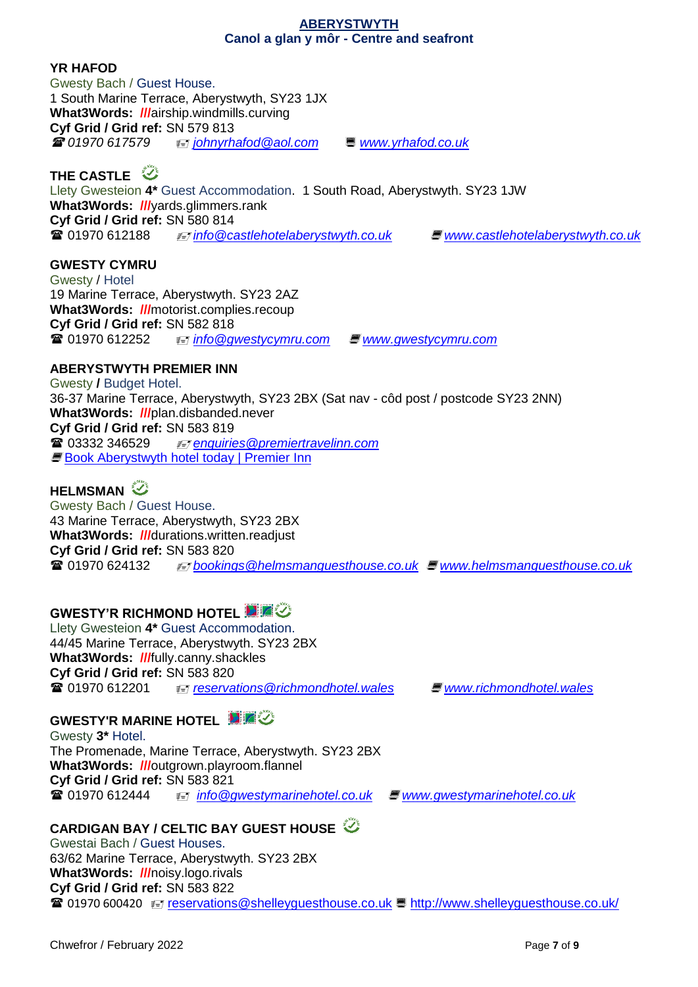#### **ABERYSTWYTH Canol a glan y môr - Centre and seafront**

### **YR HAFOD**

Gwesty Bach / Guest House. 1 South Marine Terrace, Aberystwyth, SY23 1JX **What3Words: ///**airship.windmills.curving **Cyf Grid / Grid ref:** SN 579 813 *01970 617579 [johnyrhafod@aol.com](mailto:johnyrhafod@aol.com) [www.yrhafod.co.uk](http://www.yrhafod.co.uk/)*

# **THE CASTLE**

Llety Gwesteion **4\*** Guest Accommodation. 1 South Road, Aberystwyth. SY23 1JW **What3Words: ///**yards.glimmers.rank **Cyf Grid / Grid ref:** SN 580 814 **■ 01970 612188** *<i>i*nfo@castlehotelaberystwyth.co.uk ■ [www.castlehotelaberystwyth.co.uk](http://www.castlehotelaberystwyth.co.uk/)

### **GWESTY CYMRU**

Gwesty / Hotel 19 Marine Terrace, Aberystwyth. SY23 2AZ **What3Words: ///**motorist.complies.recoup **Cyf Grid / Grid ref:** SN 582 818 01970 612252 *[info@gwestycymru.com](mailto:info@gwestycymru.com) [www.gwestycymru.com](http://www.gwestycymru.com/)*

# **ABERYSTWYTH PREMIER INN**

Gwesty **/** Budget Hotel. 36-37 Marine Terrace, Aberystwyth, SY23 2BX (Sat nav - côd post / postcode SY23 2NN) **What3Words: ///**plan.disbanded.never **Cyf Grid / Grid ref:** SN 583 819 [03332 346](mailto:03332%2034)529 *[enquiries@premiertravelinn.com](mailto:enquiries@premiertravelinn.com)*  **[Book Aberystwyth hotel today | Premier Inn](https://www.premierinn.com/gb/en/hotels/wales/dyfed/aberystwyth/aberystwyth.html)** 

# **HELMSMAN**

Gwesty Bach / Guest House. 43 Marine Terrace, Aberystwyth, SY23 2BX **What3Words: ///**durations.written.readjust **Cyf Grid / Grid ref:** SN 583 820 01970 624132 *[bookings@helmsmanguesthouse.co.uk](mailto:bookings@helmsmanguesthouse.co.uk)  [www.helmsmanguesthouse.co.uk](http://www.helmsmanguesthouse.co.uk/)*

# **GWESTY'R RICHMOND HOTEL <b>E**  $\mathbb{Z}$

Llety Gwesteion **4\*** Guest Accommodation. 44/45 Marine Terrace, Aberystwyth. SY23 2BX **What3Words: ///**fully.canny.shackles **Cyf Grid / Grid ref:** SN 583 820 01970 612201 *[reservations@richmondhotel.wales](mailto:reservations@richmondhotel.wales)  [www.richmondhotel.wales](http://www.richmondhotel.wales/)*

# **GWESTY'R MARINE HOTEL ET GU**

Gwesty **3\*** Hotel. The Promenade, Marine Terrace, Aberystwyth. SY23 2BX **What3Words: ///**outgrown.playroom.flannel **Cyf Grid / Grid ref:** SN 583 821 01970 612444  *info@gwestymarinehotel.co.uk [www.gwestymarinehotel.co.uk](http://www.gwestymarinehotel.co.uk/)*

### **CARDIGAN BAY / CELTIC BAY GUEST HOUSE**

Gwestai Bach / Guest Houses. 63/62 Marine Terrace, Aberystwyth. SY23 2BX **What3Words: ///**noisy.logo.rivals **Cyf Grid / Grid ref:** SN 583 822 01970 600420 [reservations@shelleyguesthouse.co.uk](mailto:reservations@shelleyguesthouse.co.uk) <http://www.shelleyguesthouse.co.uk/>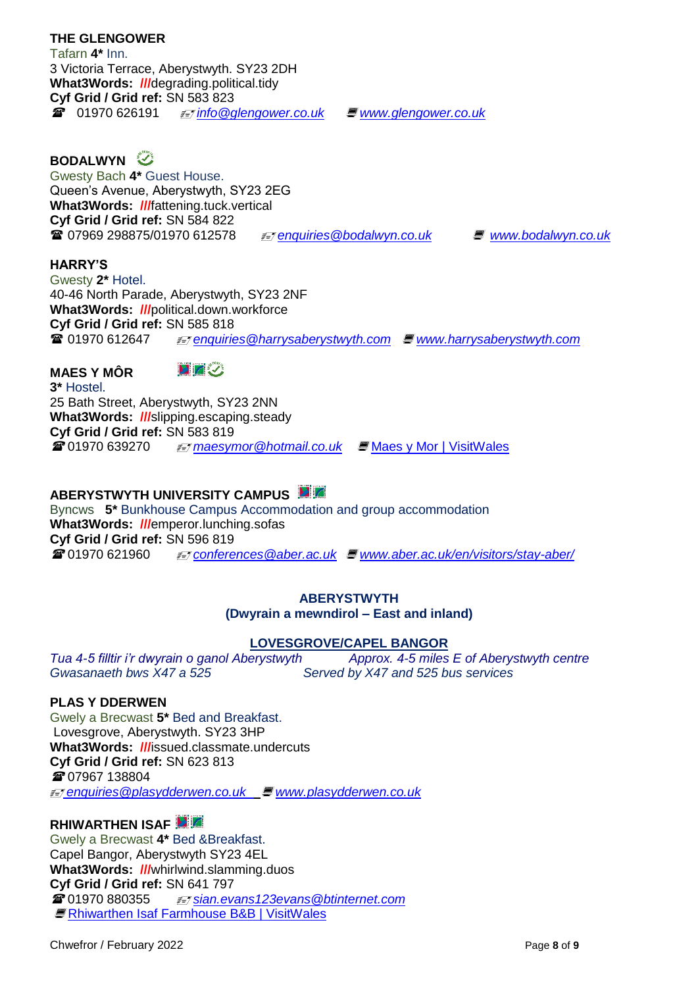3 Victoria Terrace, Aberystwyth. SY23 2DH **What3Words: ///**degrading.political.tidy **Cyf Grid / Grid ref:** SN 583 823 01970 626191 *[info@glengower.co.uk](mailto:info@glengower.co.uk) www.glengower.co.uk* **BODALWYN** Gwesty Bach **4\*** Guest House. Queen's Avenue, Aberystwyth, SY23 2EG **What3Words: ///**fattening.tuck.vertical **Cyf Grid / Grid ref:** SN 584 822 07969 298875/01970 612578 *[enquiries@bodalwyn.co.uk](mailto:enquiries@bodalwyn.co.uk)  [www.bodalwyn.co.uk](http://www.bodalwyn.co.uk/)*  **HARRY'S** Gwesty **2\*** Hotel. 40-46 North Parade, Aberystwyth, SY23 2NF **What3Words: ///**political.down.workforce

**MAES Y MÔR**

**THE GLENGOWER**  Tafarn **4\*** Inn.

**DIZK** 

**Cyf Grid / Grid ref:** SN 585 818

**3\*** Hostel. 25 Bath Street, Aberystwyth, SY23 2NN **What3Words: ///**slipping.escaping.steady **Cyf Grid / Grid ref:** SN 583 819 **2** 01970 639270 *≢≡ maesymor* @hotmail.co.uk ■ [Maes y Mor | VisitWales](https://www.visitwales.com/accommodation/hostel/maes-y-mor-921876)

**ABERYSTWYTH UNIVERSITY CAMPUS**

Byncws **5\*** Bunkhouse Campus Accommodation and group accommodation **What3Words: ///**emperor.lunching.sofas **Cyf Grid / Grid ref:** SN 596 819 **@ 01970 621960** *≢₹ conferences @aber.ac.uk ■ [www.aber.ac.uk/en/visitors/stay-aber/](http://www.aber.ac.uk/en/visitors/stay-aber/)* 

01970 612647 *[enquiries@harrysaberystwyth.com](mailto:enquiries@harrysaberystwyth.com) [www.harrysaberystwyth.com](http://www.harrysaberystwyth.com/)*

### **ABERYSTWYTH (Dwyrain a mewndirol – East and inland)**

### **LOVESGROVE/CAPEL BANGOR**

*Tua 4-5 filltir i'r dwyrain o ganol Aberystwyth Approx. 4-5 miles E of Aberystwyth centre Gwasanaeth bws X47 a 525 Served by X47 and 525 bus services*

### **PLAS Y DDERWEN**

Gwely a Brecwast **5\*** Bed and Breakfast. Lovesgrove, Aberystwyth. SY23 3HP **What3Words: ///**issued.classmate.undercuts **Cyf Grid / Grid ref:** SN 623 813 07967 138804 *enquirie[s@plasydderwen.co.uk](mailto:ymholiadau@plasydderwen.co.uk)  [www.plasydderwen.co.uk](http://www.plasydderwen.co.uk/)*

### **RHIWARTHEN ISAF**

Gwely a Brecwast **4\*** Bed &Breakfast. Capel Bangor, Aberystwyth SY23 4EL **What3Words: ///**whirlwind.slamming.duos **Cyf Grid / Grid ref:** SN 641 797 01970 880355 *[sian.evans123evans@btinternet.com](mailto:sian.evans123evans@btinternet.com)*  [Rhiwarthen Isaf Farmhouse B&B | VisitWales](https://www.visitwales.com/accommodation/bed-breakfast/rhiwarthen-isaf-farmhouse-bb-702711)